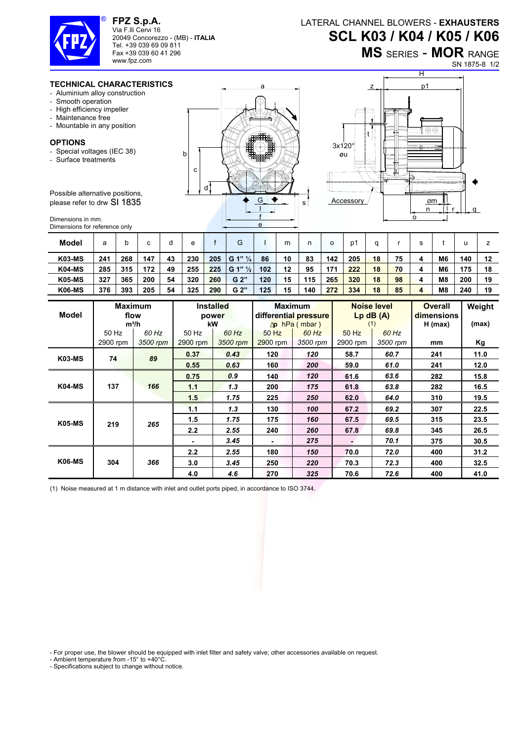

**FPZ S.p.A.**  Via F.lli Cervi 16 20049 Concorezzo - (MB) - **ITALIA** Tel. +39 039 69 09 811 Fax +39 039 60 41 296

## LATERAL CHANNEL BLOWERS - **EXHAUSTERS SCL K03 / K04 / K05 / K06**

## **MS** SERIES - **MOR** RANGE

SN 1875-8 1/2

## **TECHNICAL CHARACTERISTICS**

www.fpz.com

- Aluminium alloy construction
- Smooth operation
- High efficiency impeller
- Maintenance free
- Mountable in any position

## **OPTIONS**

- Special voltages (IEC 38)
- Surface treatments

Possible alternative positions, please refer to drw SI 1835

Dimensions in mm. Dimensions for reference only





| <b>Model</b>  | а   |     | $\sim$ | a  | е   |     | G                  |     | m  |     |     | D´  |    |    | ິ |                |     |    |
|---------------|-----|-----|--------|----|-----|-----|--------------------|-----|----|-----|-----|-----|----|----|---|----------------|-----|----|
| <b>K03-MS</b> | 241 | 268 | 147    | 43 | 230 | 205 | G 1" $\frac{1}{4}$ | 86  | 10 | 83  | 142 | 205 | 18 | 75 |   | M <sub>6</sub> | 140 | 12 |
| <b>K04-MS</b> | 285 | 315 | 172    | 49 | 255 | 225 | G 1" $\frac{1}{2}$ | 102 | 12 | 95  | 171 | 222 | 18 | 70 |   | M <sub>6</sub> | 175 | 18 |
| <b>K05-MS</b> | 327 | 365 | 200    | 54 | 320 | 260 | G 2"               | 120 | 15 | 115 | 265 | 320 | 18 | 98 |   | M8             | 200 | 19 |
| <b>K06-MS</b> | 376 | 393 | 205    | 54 | 325 | 290 | G <sub>2</sub>     | 125 | 15 | 140 | 272 | 334 | 18 | 85 | 4 | M8             | 240 | 19 |

|               |                   | <b>Maximum</b>    |                   | <b>Installed</b>  |                   | <b>Maximum</b>                                 |                     | Noise level       | <b>Overall</b>          | Weight |
|---------------|-------------------|-------------------|-------------------|-------------------|-------------------|------------------------------------------------|---------------------|-------------------|-------------------------|--------|
| <b>Model</b>  |                   | flow<br>$m^3/h$   |                   | power<br>kW       |                   | differential pressure<br>$\Delta p$ hPa (mbar) | (1)                 | $Lp$ dB $(A)$     | dimensions<br>$H$ (max) | (max)  |
|               | 50 Hz<br>2900 rpm | 60 Hz<br>3500 rpm | 50 Hz<br>2900 rpm | 60 Hz<br>3500 rpm | 50 Hz<br>2900 rpm | 60 Hz<br>3500 rpm                              | $50$ Hz<br>2900 rpm | 60 Hz<br>3500 rpm | mm                      | Kg     |
| <b>K03-MS</b> | 74                | 89                | 0.37              | 0.43              | 120               | 120                                            | 58.7                | 60.7              | 241                     | 11.0   |
|               |                   |                   | 0.55              | 0.63              | 160               | 200                                            | 59.0                | 61.0              | 241                     | 12.0   |
| K04-MS        | 137               | 166               | 0.75              | 0.9               | 140               | 120                                            | 61.6                | 63.6              | 282                     | 15.8   |
|               |                   |                   | 1.1               | 1.3               | 200               | 175                                            | 61.8                | 63.8              | 282                     | 16.5   |
|               |                   |                   | 1.5               | 1.75              | 225               | 250                                            | 62.0                | 64.0              | 310                     | 19.5   |
| <b>K05-MS</b> | 219               | 265               | 1.1               | 1.3               | 130               | 100                                            | 67.2                | 69.2              | 307                     | 22.5   |
|               |                   |                   | 1.5               | 1.75              | 175               | 160                                            | 67.5                | 69.5              | 315                     | 23.5   |
|               |                   |                   | 2.2               | 2.55              | 240               | 260                                            | 67.8                | 69.8              | 345                     | 26.5   |
|               |                   |                   |                   | 3.45              | ٠                 | 275                                            |                     | 70.1              | 375                     | 30.5   |
| <b>K06-MS</b> |                   | 366               | 2.2               | 2.55              | 180               | 150                                            | 70.0                | 72.0              | 400                     | 31.2   |
|               | 304               |                   | 3.0               | 3.45              | 250               | 220                                            | 70.3                | 72.3              | 400                     | 32.5   |
|               |                   |                   | 4.0               | 4.6               | 270               | 325                                            | 70.6                | 72.6              | 400                     | 41.0   |

(1) Noise measured at 1 m distance with inlet and outlet ports piped, in accordance to ISO 3744.

- For proper use, the blower should be equipped with inlet filter and safety valve; other accessories available on request.

- Ambient temperature from -15° to +40°C.

- Specifications subject to change without notice.